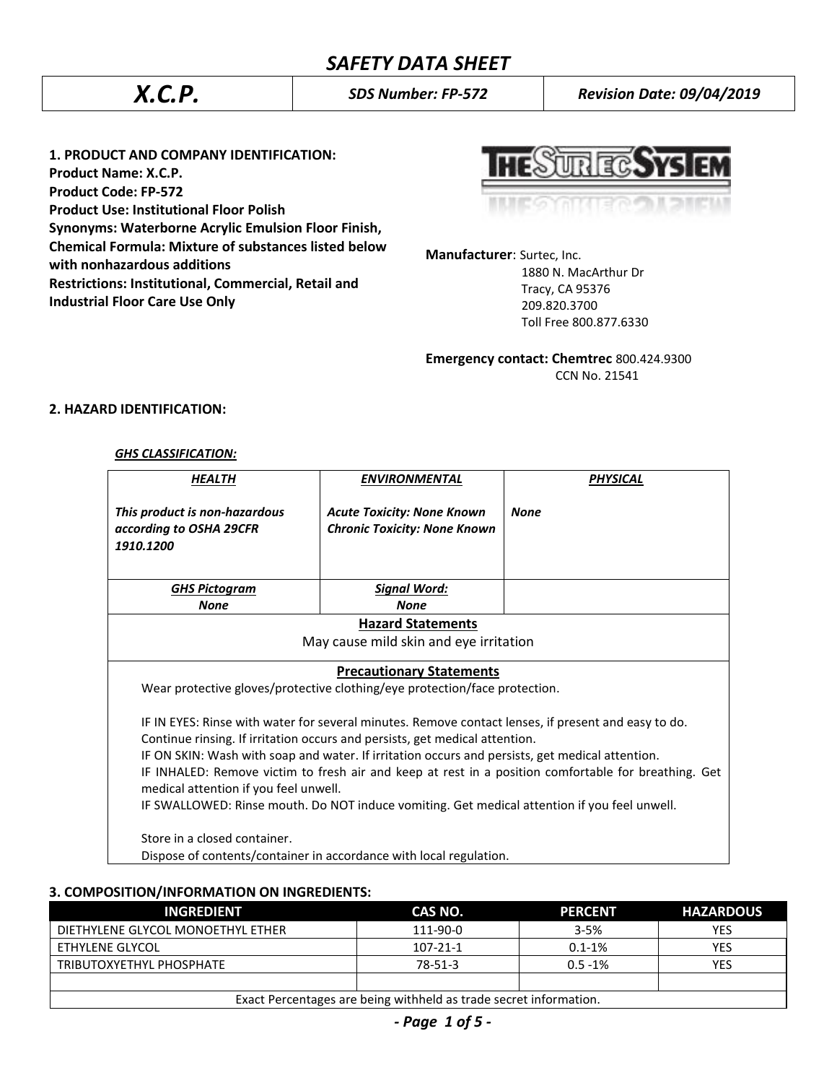*X.C.P. SDS Number: FP-572 Revision Date: 09/04/2019*

**1. PRODUCT AND COMPANY IDENTIFICATION: Product Name: X.C.P. Product Code: FP-572 Product Use: Institutional Floor Polish Synonyms: Waterborne Acrylic Emulsion Floor Finish, Chemical Formula: Mixture of substances listed below with nonhazardous additions Restrictions: Institutional, Commercial, Retail and Industrial Floor Care Use Only**

**TRECAN** 

**Manufacturer**: Surtec, Inc.

 1880 N. MacArthur Dr Tracy, CA 95376 209.820.3700 Toll Free 800.877.6330

**Emergency contact: Chemtrec** 800.424.9300 CCN No. 21541

### **2. HAZARD IDENTIFICATION:**

#### *GHS CLASSIFICATION:*

| <b>HEALTH</b>                                                                                                                                                                                                                                                                                                                                                                                                                                                                                                                          | <b>ENVIRONMENTAL</b>                                                     | <b>PHYSICAL</b> |  |
|----------------------------------------------------------------------------------------------------------------------------------------------------------------------------------------------------------------------------------------------------------------------------------------------------------------------------------------------------------------------------------------------------------------------------------------------------------------------------------------------------------------------------------------|--------------------------------------------------------------------------|-----------------|--|
| This product is non-hazardous<br>according to OSHA 29CFR<br>1910.1200                                                                                                                                                                                                                                                                                                                                                                                                                                                                  | <b>Acute Toxicity: None Known</b><br><b>Chronic Toxicity: None Known</b> | <b>None</b>     |  |
| <b>GHS Pictogram</b>                                                                                                                                                                                                                                                                                                                                                                                                                                                                                                                   | <u> Signal Word:</u>                                                     |                 |  |
| <b>None</b>                                                                                                                                                                                                                                                                                                                                                                                                                                                                                                                            | <b>None</b>                                                              |                 |  |
|                                                                                                                                                                                                                                                                                                                                                                                                                                                                                                                                        | <b>Hazard Statements</b>                                                 |                 |  |
|                                                                                                                                                                                                                                                                                                                                                                                                                                                                                                                                        | May cause mild skin and eye irritation                                   |                 |  |
| <b>Precautionary Statements</b><br>Wear protective gloves/protective clothing/eye protection/face protection.                                                                                                                                                                                                                                                                                                                                                                                                                          |                                                                          |                 |  |
| IF IN EYES: Rinse with water for several minutes. Remove contact lenses, if present and easy to do.<br>Continue rinsing. If irritation occurs and persists, get medical attention.<br>IF ON SKIN: Wash with soap and water. If irritation occurs and persists, get medical attention.<br>IF INHALED: Remove victim to fresh air and keep at rest in a position comfortable for breathing. Get<br>medical attention if you feel unwell.<br>IF SWALLOWED: Rinse mouth. Do NOT induce vomiting. Get medical attention if you feel unwell. |                                                                          |                 |  |
| Store in a closed container.                                                                                                                                                                                                                                                                                                                                                                                                                                                                                                           | Dispose of contents/container in accordance with local regulation.       |                 |  |

#### **3. COMPOSITION/INFORMATION ON INGREDIENTS:**

| <b>INGREDIENT</b>                                                 | CAS NO.   | <b>PERCENT</b> | <b>HAZARDOUS</b> |
|-------------------------------------------------------------------|-----------|----------------|------------------|
| DIETHYLENE GLYCOL MONOETHYL ETHER                                 | 111-90-0  | $3 - 5%$       | <b>YES</b>       |
| ETHYLENE GLYCOL                                                   | 107-21-1  | $0.1 - 1\%$    | YES              |
| TRIBUTOXYETHYL PHOSPHATE                                          | $78-51-3$ | $0.5 - 1%$     | <b>YES</b>       |
|                                                                   |           |                |                  |
| Exact Percentages are being withheld as trade secret information. |           |                |                  |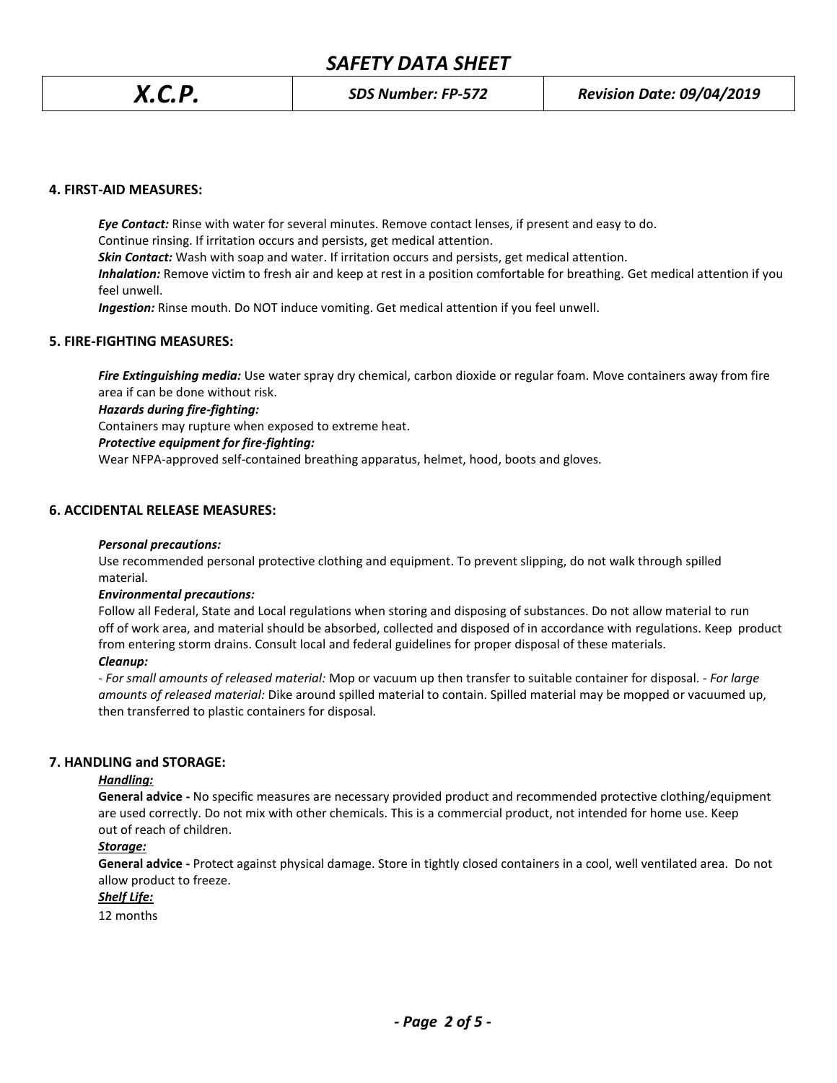# *SAFETY DATA SHEET*

#### **4. FIRST-AID MEASURES:**

*Eye Contact:* Rinse with water for several minutes. Remove contact lenses, if present and easy to do. Continue rinsing. If irritation occurs and persists, get medical attention. *Skin Contact:* Wash with soap and water. If irritation occurs and persists, get medical attention. *Inhalation:* Remove victim to fresh air and keep at rest in a position comfortable for breathing. Get medical attention if you feel unwell. *Ingestion:* Rinse mouth. Do NOT induce vomiting. Get medical attention if you feel unwell.

#### **5. FIRE-FIGHTING MEASURES:**

*Fire Extinguishing media:* Use water spray dry chemical, carbon dioxide or regular foam. Move containers away from fire area if can be done without risk.

#### *Hazards during fire-fighting:*

Containers may rupture when exposed to extreme heat.

#### *Protective equipment for fire-fighting:*

Wear NFPA-approved self-contained breathing apparatus, helmet, hood, boots and gloves.

#### **6. ACCIDENTAL RELEASE MEASURES:**

#### *Personal precautions:*

Use recommended personal protective clothing and equipment. To prevent slipping, do not walk through spilled material.

#### *Environmental precautions:*

Follow all Federal, State and Local regulations when storing and disposing of substances. Do not allow material to run off of work area, and material should be absorbed, collected and disposed of in accordance with regulations. Keep product from entering storm drains. Consult local and federal guidelines for proper disposal of these materials.

#### *Cleanup:*

*- For small amounts of released material:* Mop or vacuum up then transfer to suitable container for disposal. - *For large amounts of released material:* Dike around spilled material to contain. Spilled material may be mopped or vacuumed up, then transferred to plastic containers for disposal.

#### **7. HANDLING and STORAGE:**

#### *Handling:*

**General advice -** No specific measures are necessary provided product and recommended protective clothing/equipment are used correctly. Do not mix with other chemicals. This is a commercial product, not intended for home use. Keep out of reach of children.

#### *Storage:*

**General advice -** Protect against physical damage. Store in tightly closed containers in a cool, well ventilated area. Do not allow product to freeze.

#### *Shelf Life:*

12 months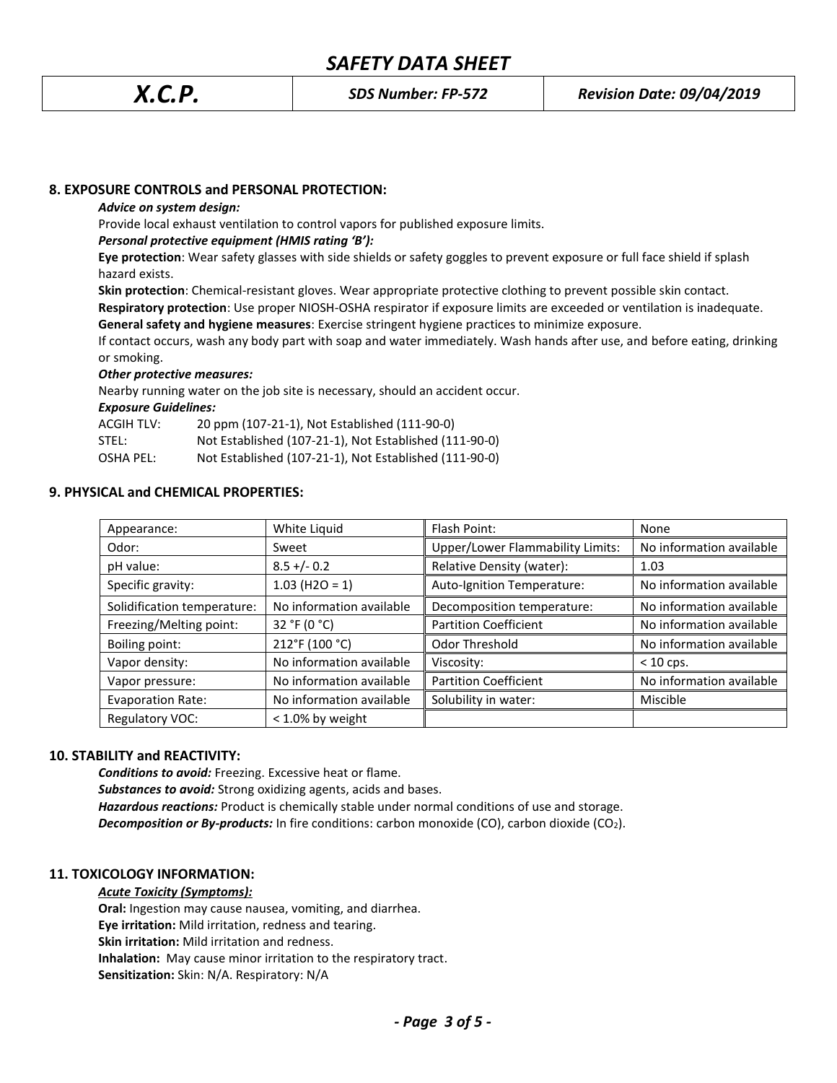### **8. EXPOSURE CONTROLS and PERSONAL PROTECTION:**

#### *Advice on system design:*

Provide local exhaust ventilation to control vapors for published exposure limits.

#### *Personal protective equipment (HMIS rating 'B'):*

**Eye protection**: Wear safety glasses with side shields or safety goggles to prevent exposure or full face shield if splash hazard exists.

**Skin protection**: Chemical-resistant gloves. Wear appropriate protective clothing to prevent possible skin contact.

**Respiratory protection**: Use proper NIOSH-OSHA respirator if exposure limits are exceeded or ventilation is inadequate.

**General safety and hygiene measures**: Exercise stringent hygiene practices to minimize exposure.

If contact occurs, wash any body part with soap and water immediately. Wash hands after use, and before eating, drinking or smoking.

#### *Other protective measures:*

Nearby running water on the job site is necessary, should an accident occur.

*Exposure Guidelines:*

ACGIH TLV: 20 ppm (107-21-1), Not Established (111-90-0)

STEL: Not Established (107-21-1), Not Established (111-90-0)

OSHA PEL: Not Established (107-21-1), Not Established (111-90-0)

#### **9. PHYSICAL and CHEMICAL PROPERTIES:**

| Appearance:                 | White Liquid             | Flash Point:                            | None                     |
|-----------------------------|--------------------------|-----------------------------------------|--------------------------|
| Odor:                       | Sweet                    | <b>Upper/Lower Flammability Limits:</b> | No information available |
| pH value:                   | $8.5 + (-0.2)$           | Relative Density (water):               | 1.03                     |
| Specific gravity:           | $1.03$ (H2O = 1)         | Auto-Ignition Temperature:              | No information available |
| Solidification temperature: | No information available | Decomposition temperature:              | No information available |
| Freezing/Melting point:     | 32 °F (0 °C)             | <b>Partition Coefficient</b>            | No information available |
| Boiling point:              | 212°F (100 °C)           | Odor Threshold                          | No information available |
| Vapor density:              | No information available | Viscosity:                              | $< 10$ cps.              |
| Vapor pressure:             | No information available | <b>Partition Coefficient</b>            | No information available |
| <b>Evaporation Rate:</b>    | No information available | Solubility in water:                    | Miscible                 |
| Regulatory VOC:             | $<$ 1.0% by weight       |                                         |                          |

#### **10. STABILITY and REACTIVITY:**

*Conditions to avoid:* Freezing. Excessive heat or flame. *Substances to avoid:* Strong oxidizing agents, acids and bases. *Hazardous reactions:* Product is chemically stable under normal conditions of use and storage. **Decomposition or By-products:** In fire conditions: carbon monoxide (CO), carbon dioxide (CO<sub>2</sub>).

#### **11. TOXICOLOGY INFORMATION:**

*Acute Toxicity (Symptoms):*

**Oral:** Ingestion may cause nausea, vomiting, and diarrhea.

**Eye irritation:** Mild irritation, redness and tearing.

**Skin irritation:** Mild irritation and redness.

**Inhalation:** May cause minor irritation to the respiratory tract.

**Sensitization:** Skin: N/A. Respiratory: N/A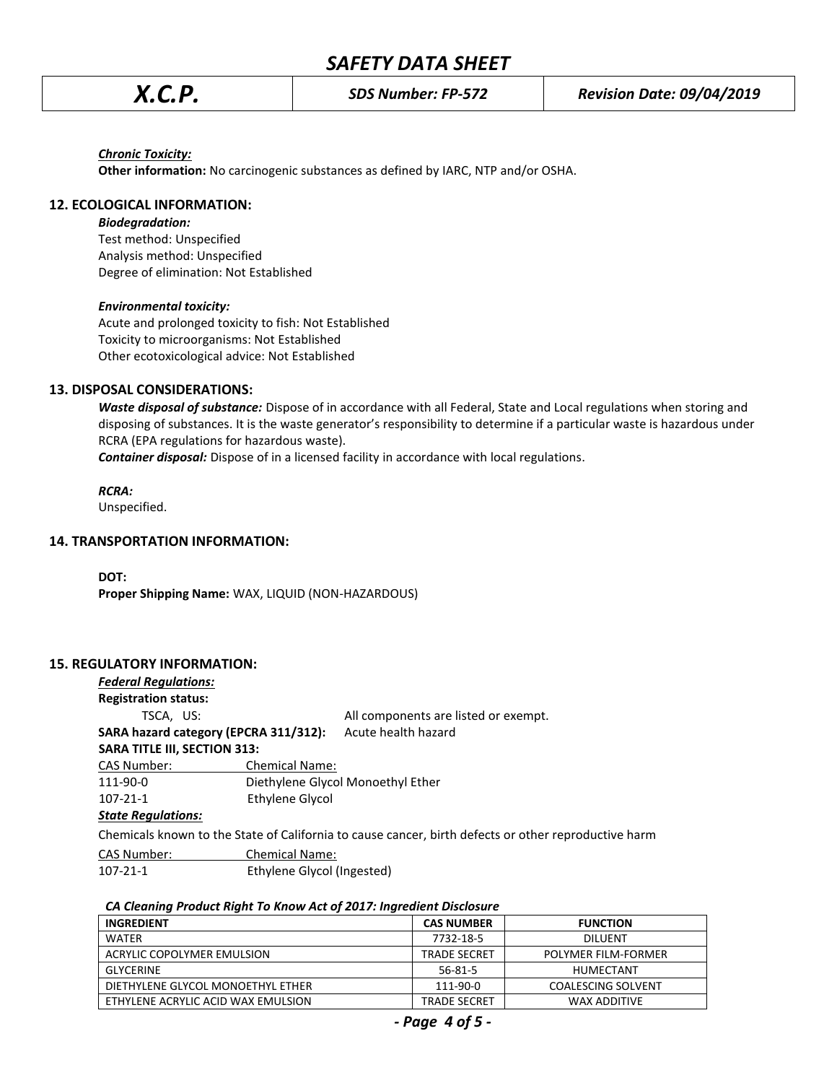#### *Chronic Toxicity:*

**Other information:** No carcinogenic substances as defined by IARC, NTP and/or OSHA.

#### **12. ECOLOGICAL INFORMATION:**

#### *Biodegradation:*

Test method: Unspecified Analysis method: Unspecified Degree of elimination: Not Established

#### *Environmental toxicity:*

Acute and prolonged toxicity to fish: Not Established Toxicity to microorganisms: Not Established Other ecotoxicological advice: Not Established

#### **13. DISPOSAL CONSIDERATIONS:**

*Waste disposal of substance:* Dispose of in accordance with all Federal, State and Local regulations when storing and disposing of substances. It is the waste generator's responsibility to determine if a particular waste is hazardous under RCRA (EPA regulations for hazardous waste).

*Container disposal:* Dispose of in a licensed facility in accordance with local regulations.

*RCRA:*

Unspecified.

#### **14. TRANSPORTATION INFORMATION:**

**DOT:**

**Proper Shipping Name:** WAX, LIQUID (NON-HAZARDOUS)

#### **15. REGULATORY INFORMATION:**

### *Federal Regulations:*

**Registration status:**

TSCA, US: All components are listed or exempt.

#### **SARA hazard category (EPCRA 311/312):** Acute health hazard **SARA TITLE III, SECTION 313:**

CAS Number: Chemical Name: 111-90-0 Diethylene Glycol Monoethyl Ether 107-21-1 Ethylene Glycol

#### *State Regulations:*

Chemicals known to the State of California to cause cancer, birth defects or other reproductive harm

CAS Number: Chemical Name:

107-21-1 Ethylene Glycol (Ingested)

#### *CA Cleaning Product Right To Know Act of 2017: Ingredient Disclosure*

| INGREDIENT                         | <b>CAS NUMBER</b>   | <b>FUNCTION</b>           |
|------------------------------------|---------------------|---------------------------|
| <b>WATER</b>                       | 7732-18-5           | <b>DILUENT</b>            |
| ACRYLIC COPOLYMER EMULSION         | <b>TRADE SECRET</b> | POLYMER FILM-FORMER       |
| <b>GLYCERINE</b>                   | 56-81-5             | HUMECTANT                 |
| DIETHYLENE GLYCOL MONOETHYL ETHER  | 111-90-0            | <b>COALESCING SOLVENT</b> |
| ETHYLENE ACRYLIC ACID WAX EMULSION | <b>TRADE SECRET</b> | WAX ADDITIVE              |